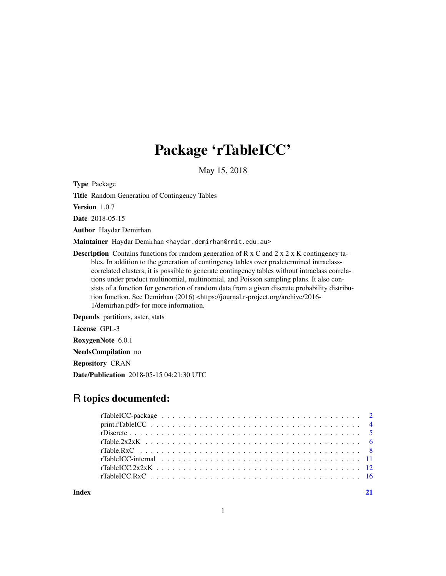## Package 'rTableICC'

May 15, 2018

Type Package

Title Random Generation of Contingency Tables

Version 1.0.7

Date 2018-05-15

Author Haydar Demirhan

Maintainer Haydar Demirhan <haydar.demirhan@rmit.edu.au>

**Description** Contains functions for random generation of R x C and 2 x 2 x K contingency tables. In addition to the generation of contingency tables over predetermined intraclasscorrelated clusters, it is possible to generate contingency tables without intraclass correlations under product multinomial, multinomial, and Poisson sampling plans. It also consists of a function for generation of random data from a given discrete probability distribution function. See Demirhan (2016) <https://journal.r-project.org/archive/2016-1/demirhan.pdf> for more information.

Depends partitions, aster, stats

License GPL-3

RoxygenNote 6.0.1

NeedsCompilation no

Repository CRAN

Date/Publication 2018-05-15 04:21:30 UTC

## R topics documented:

**Index** [21](#page-20-0)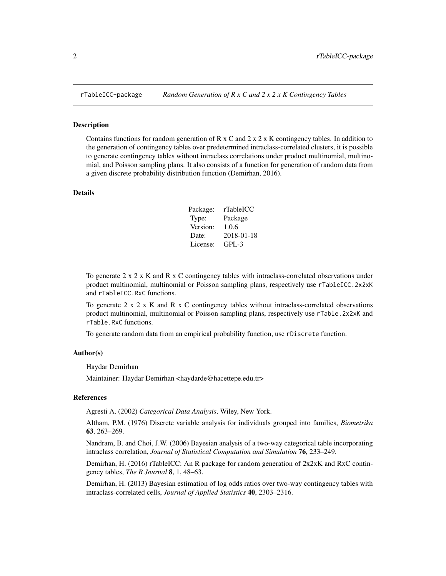#### Description

Contains functions for random generation of R  $x \text{ C}$  and 2  $x \text{ 2 } x \text{ K}$  contingency tables. In addition to the generation of contingency tables over predetermined intraclass-correlated clusters, it is possible to generate contingency tables without intraclass correlations under product multinomial, multinomial, and Poisson sampling plans. It also consists of a function for generation of random data from a given discrete probability distribution function (Demirhan, 2016).

#### Details

| Package: | rTableICC  |
|----------|------------|
| Type:    | Package    |
| Version: | 1.0.6      |
| Date:    | 2018-01-18 |
| License: | $GPI - 3$  |

To generate  $2 \times 2 \times K$  and R  $\times$  C contingency tables with intraclass-correlated observations under product multinomial, multinomial or Poisson sampling plans, respectively use rTableICC.2x2xK and rTableICC.RxC functions.

To generate  $2 \times 2 \times K$  and R  $\times$  C contingency tables without intraclass-correlated observations product multinomial, multinomial or Poisson sampling plans, respectively use rTable.2x2xK and rTable.RxC functions.

To generate random data from an empirical probability function, use rDiscrete function.

#### Author(s)

Haydar Demirhan

Maintainer: Haydar Demirhan <haydarde@hacettepe.edu.tr>

#### References

Agresti A. (2002) *Categorical Data Analysis*, Wiley, New York.

Altham, P.M. (1976) Discrete variable analysis for individuals grouped into families, *Biometrika* 63, 263–269.

Nandram, B. and Choi, J.W. (2006) Bayesian analysis of a two-way categorical table incorporating intraclass correlation, *Journal of Statistical Computation and Simulation* 76, 233–249.

Demirhan, H. (2016) rTableICC: An R package for random generation of  $2x2xK$  and RxC contingency tables, *The R Journal* 8, 1, 48–63.

Demirhan, H. (2013) Bayesian estimation of log odds ratios over two-way contingency tables with intraclass-correlated cells, *Journal of Applied Statistics* 40, 2303–2316.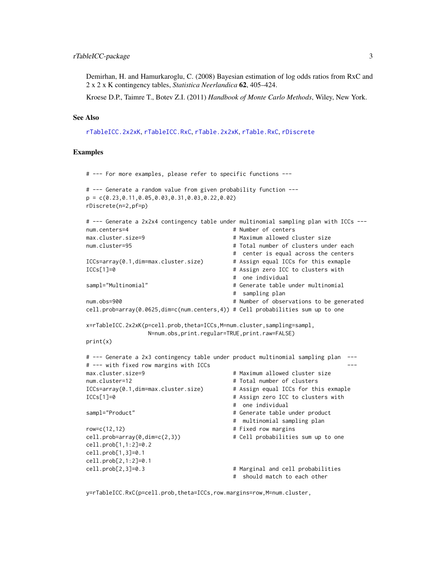#### <span id="page-2-0"></span>rTableICC-package 3

Demirhan, H. and Hamurkaroglu, C. (2008) Bayesian estimation of log odds ratios from RxC and 2 x 2 x K contingency tables, *Statistica Neerlandica* 62, 405–424.

Kroese D.P., Taimre T., Botev Z.I. (2011) *Handbook of Monte Carlo Methods*, Wiley, New York.

#### See Also

[rTableICC.2x2xK](#page-11-1), [rTableICC.RxC](#page-15-1), [rTable.2x2xK](#page-5-1), [rTable.RxC](#page-7-1), [rDiscrete](#page-4-1)

#### Examples

```
# --- For more examples, please refer to specific functions ---
# --- Generate a random value from given probability function ---
p = c(0.23,0.11,0.05,0.03,0.31,0.03,0.22,0.02)
rDiscrete(n=2,pf=p)
# --- Generate a 2x2x4 contingency table under multinomial sampling plan with ICCs ---
num.centers=4 # Number of centers
max.cluster.size=9 # Maximum allowed cluster size
num.cluster=95 # Total number of clusters under each
                                       # center is equal across the centers
ICCs=array(0.1,dim=max.cluster.size) # Assign equal ICCs for this exmaple
ICCs[1]=0 # Assign zero ICC to clusters with
                                       # one individual
sampl="Multinomial" # Generate table under multinomial
                                       # sampling plan
num.obs=900 And Accord Entity Contract Contract # Number of observations to be generated
cell.prob=array(0.0625,dim=c(num.centers,4)) # Cell probabilities sum up to one
x=rTableICC.2x2xK(p=cell.prob,theta=ICCs,M=num.cluster,sampling=sampl,
                N=num.obs,print.regular=TRUE,print.raw=FALSE)
print(x)
# --- Generate a 2x3 contingency table under product multinomial sampling plan ---
# --- with fixed row margins with ICCs
max.cluster.size=9 \qquad # Maximum allowed cluster size
num.cluster=12 # Total number of clusters
ICCs=array(0.1,dim=max.cluster.size) # Assign equal ICCs for this exmaple
ICCs[1]=0 # Assign zero ICC to clusters with
                                       # one individual
sampl="Product" \qquad \qquad \qquad \qquad \qquad \qquad \qquad \qquad \qquad \qquad \qquad \text{Generate table under product}# multinomial sampling plan
row=c(12,12) # Fixed row margins
cell.prob=array(0,dim=c(2,3)) \qquad \qquad \qquad # Cell probabilities sum up to onecell.prob[1,1:2]=0.2
cell.prob[1,3]=0.1
cell.prob[2,1:2]=0.1
cell.prob[2,3]=0.3 # Marginal and cell probabilities
                                       # should match to each other
```
y=rTableICC.RxC(p=cell.prob,theta=ICCs,row.margins=row,M=num.cluster,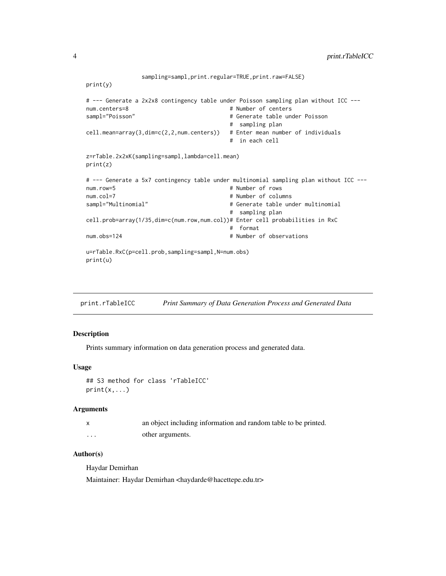```
sampling=sampl,print.regular=TRUE,print.raw=FALSE)
print(y)
# --- Generate a 2x2x8 contingency table under Poisson sampling plan without ICC ---
num.centers=8 # Number of centers
                                       # Generate table under Poisson
                                       # sampling plan
cell.mean=array(3,dim=c(2,2,num.centers)) # Enter mean number of individuals
                                       # in each cell
z=rTable.2x2xK(sampling=sampl,lambda=cell.mean)
print(z)
# --- Generate a 5x7 contingency table under multinomial sampling plan without ICC ---
num.row=5 # Number of rows
num.col=7 # Number of columns<br>sampl="Multinomial" + # Generate table un
                                       # Generate table under multinomial
                                       # sampling plan
cell.prob=array(1/35,dim=c(num.row,num.col))# Enter cell probabilities in RxC
                                       # format
num.obs=124 # Number of observations
u=rTable.RxC(p=cell.prob,sampling=sampl,N=num.obs)
print(u)
```
print.rTableICC *Print Summary of Data Generation Process and Generated Data*

#### **Description**

Prints summary information on data generation process and generated data.

#### Usage

```
## S3 method for class 'rTableICC'
print(x, \ldots)
```
#### Arguments

|         | an object including information and random table to be printed. |
|---------|-----------------------------------------------------------------|
| $\cdot$ | other arguments.                                                |

#### Author(s)

Haydar Demirhan

Maintainer: Haydar Demirhan <haydarde@hacettepe.edu.tr>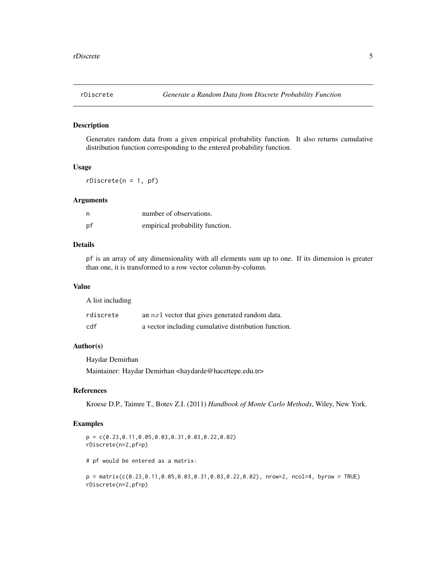<span id="page-4-1"></span><span id="page-4-0"></span>

#### Description

Generates random data from a given empirical probability function. It also returns cumulative distribution function corresponding to the entered probability function.

## Usage

 $rDiscrete(n = 1, pf)$ 

## Arguments

| n  | number of observations.         |  |  |  |  |
|----|---------------------------------|--|--|--|--|
| рf | empirical probability function. |  |  |  |  |

## Details

pf is an array of any dimensionality with all elements sum up to one. If its dimension is greater than one, it is transformed to a row vector column-by-column.

#### Value

A list including

| rdiscrete | an $nx1$ vector that gives generated random data.    |
|-----------|------------------------------------------------------|
| cdf       | a vector including cumulative distribution function. |

## Author(s)

Haydar Demirhan Maintainer: Haydar Demirhan <haydarde@hacettepe.edu.tr>

#### References

Kroese D.P., Taimre T., Botev Z.I. (2011) *Handbook of Monte Carlo Methods*, Wiley, New York.

#### Examples

```
p = c(0.23,0.11,0.05,0.03,0.31,0.03,0.22,0.02)
rDiscrete(n=2,pf=p)
```
# pf would be entered as a matrix:

 $p = matrix(c(0.23, 0.11, 0.05, 0.03, 0.31, 0.03, 0.22, 0.02),$  nrow=2, ncol=4, byrow = TRUE) rDiscrete(n=2,pf=p)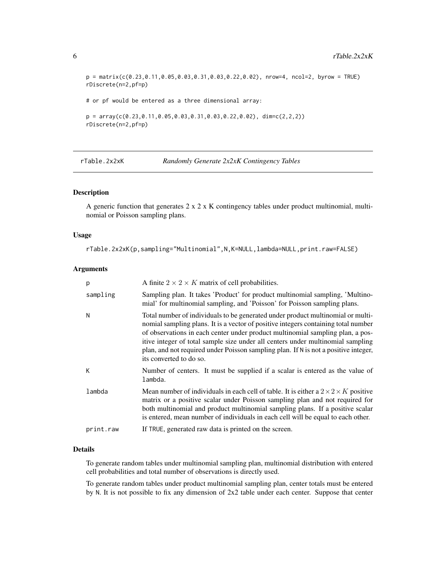$p = matrix(c(0.23, 0.11, 0.05, 0.03, 0.31, 0.03, 0.22, 0.02),$  nrow=4, ncol=2, byrow = TRUE) rDiscrete(n=2,pf=p) # or pf would be entered as a three dimensional array:  $p = array(c(0.23, 0.11, 0.05, 0.03, 0.31, 0.03, 0.22, 0.02), dim=c(2,2,2))$ 

rDiscrete(n=2,pf=p)

<span id="page-5-1"></span>rTable.2x2xK *Randomly Generate 2x2xK Contingency Tables*

## Description

A generic function that generates 2 x 2 x K contingency tables under product multinomial, multinomial or Poisson sampling plans.

#### Usage

```
rTable.2x2xK(p,sampling="Multinomial",N,K=NULL,lambda=NULL,print.raw=FALSE)
```
#### Arguments

| p         | A finite $2 \times 2 \times K$ matrix of cell probabilities.                                                                                                                                                                                                                                                                                                                                                                                                 |
|-----------|--------------------------------------------------------------------------------------------------------------------------------------------------------------------------------------------------------------------------------------------------------------------------------------------------------------------------------------------------------------------------------------------------------------------------------------------------------------|
| sampling  | Sampling plan. It takes 'Product' for product multinomial sampling, 'Multino-<br>mial' for multinomial sampling, and 'Poisson' for Poisson sampling plans.                                                                                                                                                                                                                                                                                                   |
| N         | Total number of individuals to be generated under product multinomial or multi-<br>nomial sampling plans. It is a vector of positive integers containing total number<br>of observations in each center under product multinomial sampling plan, a pos-<br>itive integer of total sample size under all centers under multinomial sampling<br>plan, and not required under Poisson sampling plan. If N is not a positive integer,<br>its converted to do so. |
| К         | Number of centers. It must be supplied if a scalar is entered as the value of<br>lambda.                                                                                                                                                                                                                                                                                                                                                                     |
| lambda    | Mean number of individuals in each cell of table. It is either a $2 \times 2 \times K$ positive<br>matrix or a positive scalar under Poisson sampling plan and not required for<br>both multinomial and product multinomial sampling plans. If a positive scalar<br>is entered, mean number of individuals in each cell will be equal to each other.                                                                                                         |
| print.raw | If TRUE, generated raw data is printed on the screen.                                                                                                                                                                                                                                                                                                                                                                                                        |

#### Details

To generate random tables under multinomial sampling plan, multinomial distribution with entered cell probabilities and total number of observations is directly used.

To generate random tables under product multinomial sampling plan, center totals must be entered by N. It is not possible to fix any dimension of 2x2 table under each center. Suppose that center

<span id="page-5-0"></span>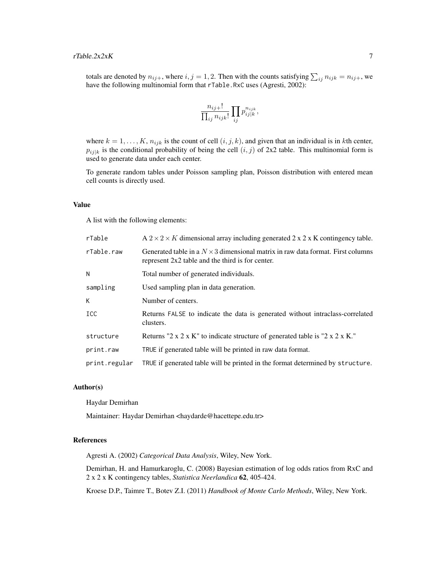totals are denoted by  $n_{ij+}$ , where  $i, j = 1, 2$ . Then with the counts satisfying  $\sum_{ij} n_{ijk} = n_{ij+}$ , we have the following multinomial form that rTable.RxC uses (Agresti, 2002):

$$
\frac{n_{ij+}!}{\prod_{ij}n_{ijk}!}\prod_{ij}p_{ij|k}^{n_{ijk}},
$$

where  $k = 1, \ldots, K$ ,  $n_{ijk}$  is the count of cell  $(i, j, k)$ , and given that an individual is in kth center,  $p_{ij|k}$  is the conditional probability of being the cell  $(i, j)$  of 2x2 table. This multinomial form is used to generate data under each center.

To generate random tables under Poisson sampling plan, Poisson distribution with entered mean cell counts is directly used.

#### Value

A list with the following elements:

| rTable        | $A$ 2 $\times$ 2 $\times$ K dimensional array including generated 2 x 2 x K contingency table.                                             |
|---------------|--------------------------------------------------------------------------------------------------------------------------------------------|
| rTable.raw    | Generated table in a $N \times 3$ dimensional matrix in raw data format. First columns<br>represent 2x2 table and the third is for center. |
| Ν             | Total number of generated individuals.                                                                                                     |
| sampling      | Used sampling plan in data generation.                                                                                                     |
| K.            | Number of centers.                                                                                                                         |
| <b>ICC</b>    | Returns FALSE to indicate the data is generated without intraclass-correlated<br>clusters.                                                 |
| structure     | Returns "2 x 2 x K" to indicate structure of generated table is "2 x 2 x K."                                                               |
| print.raw     | TRUE if generated table will be printed in raw data format.                                                                                |
| print.regular | TRUE if generated table will be printed in the format determined by structure.                                                             |

#### Author(s)

Haydar Demirhan

Maintainer: Haydar Demirhan <haydarde@hacettepe.edu.tr>

## References

Agresti A. (2002) *Categorical Data Analysis*, Wiley, New York.

Demirhan, H. and Hamurkaroglu, C. (2008) Bayesian estimation of log odds ratios from RxC and 2 x 2 x K contingency tables, *Statistica Neerlandica* 62, 405-424.

Kroese D.P., Taimre T., Botev Z.I. (2011) *Handbook of Monte Carlo Methods*, Wiley, New York.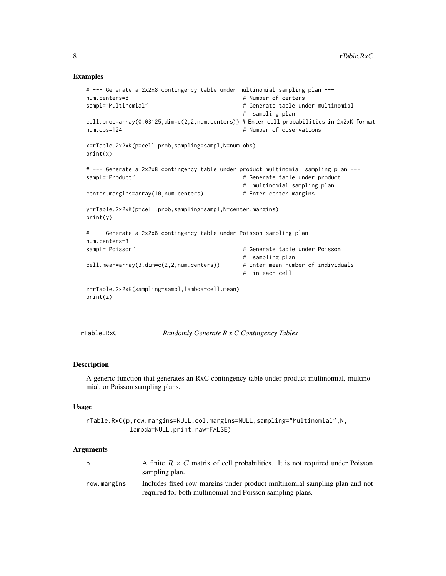#### Examples

```
# --- Generate a 2x2x8 contingency table under multinomial sampling plan ---
num.centers=8 \qquad # Number of centers
sampl="Multinomial" # Generate table under multinomial
                                                # sampling plan
cell.prob=array(0.03125,dim=c(2,2,num.centers)) # Enter cell probabilities in 2x2xK format
num.obs=124 # Number of observations
x=rTable.2x2xK(p=cell.prob,sampling=sampl,N=num.obs)
print(x)
# --- Generate a 2x2x8 contingency table under product multinomial sampling plan ---
sampl="Product" # Generate table under product
                                                # multinomial sampling plan
center.margins=array(10,num.centers) # Enter center margins
y=rTable.2x2xK(p=cell.prob,sampling=sampl,N=center.margins)
print(y)
# --- Generate a 2x2x8 contingency table under Poisson sampling plan ---
num.centers=3
sampl="Poisson" entitled and the sample of the sample of the sample of the sample of the sample of the sample of the sample of the sample of the sample of the sample of the sample of the sample of the sample of the sample 
                                                # sampling plan
cell.mean=array(3,dim=c(2,2,num.centers)) # Enter mean number of individuals
                                                # in each cell
z=rTable.2x2xK(sampling=sampl,lambda=cell.mean)
print(z)
```
<span id="page-7-1"></span>rTable.RxC *Randomly Generate R x C Contingency Tables*

## **Description**

A generic function that generates an RxC contingency table under product multinomial, multinomial, or Poisson sampling plans.

#### Usage

rTable.RxC(p,row.margins=NULL,col.margins=NULL,sampling="Multinomial",N, lambda=NULL,print.raw=FALSE)

#### Arguments

| p           | A finite $R \times C$ matrix of cell probabilities. It is not required under Poisson<br>sampling plan.                                  |
|-------------|-----------------------------------------------------------------------------------------------------------------------------------------|
| row.margins | Includes fixed row margins under product multinomial sampling plan and not<br>required for both multinomial and Poisson sampling plans. |

<span id="page-7-0"></span>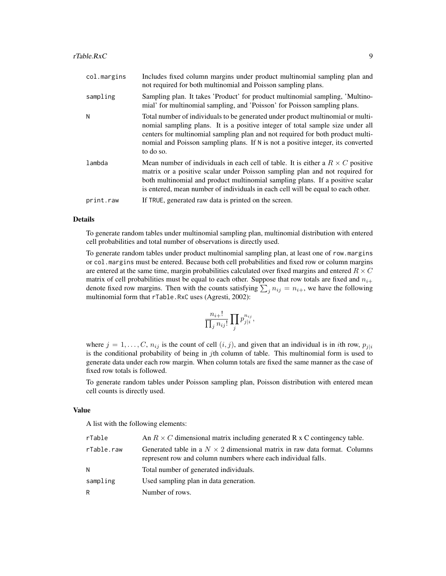| col.margins | Includes fixed column margins under product multinomial sampling plan and<br>not required for both multinomial and Poisson sampling plans.                                                                                                                                                                                                           |
|-------------|------------------------------------------------------------------------------------------------------------------------------------------------------------------------------------------------------------------------------------------------------------------------------------------------------------------------------------------------------|
| sampling    | Sampling plan. It takes 'Product' for product multinomial sampling, 'Multino-<br>mial' for multinomial sampling, and 'Poisson' for Poisson sampling plans.                                                                                                                                                                                           |
| N           | Total number of individuals to be generated under product multinomial or multi-<br>nomial sampling plans. It is a positive integer of total sample size under all<br>centers for multinomial sampling plan and not required for both product multi-<br>nomial and Poisson sampling plans. If N is not a positive integer, its converted<br>to do so. |
| lambda      | Mean number of individuals in each cell of table. It is either a $R \times C$ positive<br>matrix or a positive scalar under Poisson sampling plan and not required for<br>both multinomial and product multinomial sampling plans. If a positive scalar<br>is entered, mean number of individuals in each cell will be equal to each other.          |
| print.raw   | If TRUE, generated raw data is printed on the screen.                                                                                                                                                                                                                                                                                                |

## Details

To generate random tables under multinomial sampling plan, multinomial distribution with entered cell probabilities and total number of observations is directly used.

To generate random tables under product multinomial sampling plan, at least one of row.margins or col.margins must be entered. Because both cell probabilities and fixed row or column margins are entered at the same time, margin probabilities calculated over fixed margins and entered  $R \times C$ matrix of cell probabilities must be equal to each other. Suppose that row totals are fixed and  $n_{i+}$ denote fixed row margins. Then with the counts satisfying  $\sum_j n_{ij} = n_{i+}$ , we have the following multinomial form that rTable.RxC uses (Agresti, 2002):

$$
\frac{n_{i+}!}{\prod_j n_{ij}!} \prod_j p_{j|i}^{n_{ij}},
$$

where  $j = 1, \ldots, C, n_{ij}$  is the count of cell  $(i, j)$ , and given that an individual is in *i*th row,  $p_{j|i}$ is the conditional probability of being in jth column of table. This multinomial form is used to generate data under each row margin. When column totals are fixed the same manner as the case of fixed row totals is followed.

To generate random tables under Poisson sampling plan, Poisson distribution with entered mean cell counts is directly used.

#### Value

A list with the following elements:

| rTable     | An $R \times C$ dimensional matrix including generated R x C contingency table.                                                                   |  |  |  |  |
|------------|---------------------------------------------------------------------------------------------------------------------------------------------------|--|--|--|--|
| rTable.raw | Generated table in a $N \times 2$ dimensional matrix in raw data format. Columns<br>represent row and column numbers where each individual falls. |  |  |  |  |
| N          | Total number of generated individuals.                                                                                                            |  |  |  |  |
| sampling   | Used sampling plan in data generation.                                                                                                            |  |  |  |  |
| R          | Number of rows.                                                                                                                                   |  |  |  |  |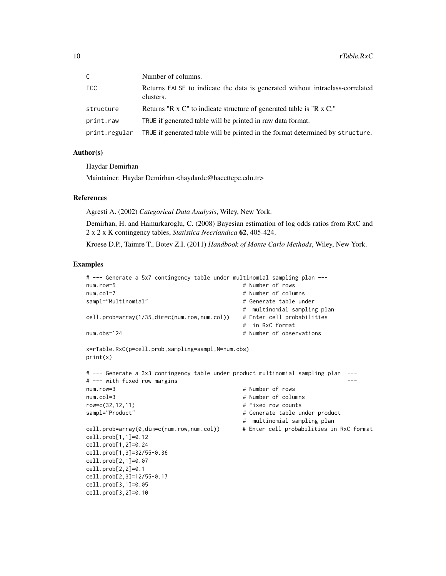| $\mathsf{C}$  | Number of columns.                                                                         |
|---------------|--------------------------------------------------------------------------------------------|
| <b>ICC</b>    | Returns FALSE to indicate the data is generated without intraclass-correlated<br>clusters. |
| structure     | Returns "R x C" to indicate structure of generated table is "R x C."                       |
| print.raw     | TRUE if generated table will be printed in raw data format.                                |
| print.regular | TRUE if generated table will be printed in the format determined by structure.             |

## Author(s)

Haydar Demirhan

Maintainer: Haydar Demirhan <haydarde@hacettepe.edu.tr>

#### References

Agresti A. (2002) *Categorical Data Analysis*, Wiley, New York.

Demirhan, H. and Hamurkaroglu, C. (2008) Bayesian estimation of log odds ratios from RxC and 2 x 2 x K contingency tables, *Statistica Neerlandica* 62, 405-424.

Kroese D.P., Taimre T., Botev Z.I. (2011) *Handbook of Monte Carlo Methods*, Wiley, New York.

#### Examples

```
# --- Generate a 5x7 contingency table under multinomial sampling plan ---
num.row=5 \qquad # Number of rows
num.col=7 # Number of columns
sampl="Multinomial" \qquad \qquad \qquad \qquad \qquad # Generate table under
                                        # multinomial sampling plan
cell.prob=array(1/35,dim=c(num.row,num.col)) # Enter cell probabilities
                                        # in RxC format
num.obs=124 # Number of observations
x=rTable.RxC(p=cell.prob,sampling=sampl,N=num.obs)
print(x)
# --- Generate a 3x3 contingency table under product multinomial sampling plan ---
# --- with fixed row margins ---
num.row=3 # Number of rows
num.col=3 # Number of columns
row=c(32,12,11) # Fixed row counts
sampl="Product" \qquad \qquad \qquad \qquad \qquad \qquad \qquad \qquad \qquad \qquad \qquad \text{Generate table under product}# multinomial sampling plan
cell.prob=array(0,dim=c(num.row,num.col)) # Enter cell probabilities in RxC format
cell.prob[1,1]=0.12
cell.prob[1,2]=0.24
cell.prob[1,3]=32/55-0.36
cell.prob[2,1]=0.07
cell.prob[2,2]=0.1
cell.prob[2,3]=12/55-0.17
cell.prob[3,1]=0.05
cell.prob[3,2]=0.10
```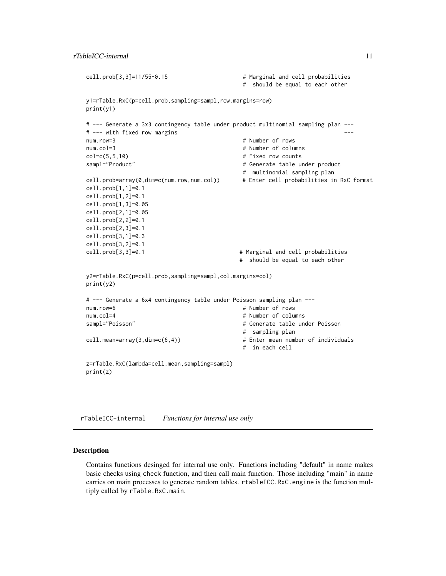```
cell.prob[3,3]=11/55-0.15 # Marginal and cell probabilities
                                    # should be equal to each other
y1=rTable.RxC(p=cell.prob,sampling=sampl,row.margins=row)
print(y1)
# --- Generate a 3x3 contingency table under product multinomial sampling plan ---
# --- with fixed row margins ---
num.row=3 # Number of rows
num.col=3 # Number of columns
col=c(5,5,10) # Fixed row counts
sampl="Product" # Generate table under product
                                    # multinomial sampling plan
cell.prob=array(0,dim=c(num.row,num.col)) # Enter cell probabilities in RxC format
cell.prob[1,1]=0.1
cell.prob[1,2]=0.1
cell.prob[1,3]=0.05
cell.prob[2,1]=0.05
cell.prob[2,2]=0.1
cell.prob[2,3]=0.1
cell.prob[3,1]=0.3
cell.prob[3,2]=0.1
cell.prob[3,3]=0.1 # Marginal and cell probabilities
                                   # should be equal to each other
y2=rTable.RxC(p=cell.prob,sampling=sampl,col.margins=col)
print(y2)
# --- Generate a 6x4 contingency table under Poisson sampling plan ---
num.row=6 # Number of rows
num.col=4 # Number of columns
sampl="Poisson" # Generate table under Poisson
                                    # sampling plan
cell.mean=array(3,dim=c(6,4)) # Enter mean number of individuals
                                    # in each cell
z=rTable.RxC(lambda=cell.mean,sampling=sampl)
print(z)
```
rTableICC-internal *Functions for internal use only*

#### Description

Contains functions desinged for internal use only. Functions including "default" in name makes basic checks using check function, and then call main function. Those including "main" in name carries on main processes to generate random tables. rtableICC.RxC.engine is the function multiply called by rTable.RxC.main.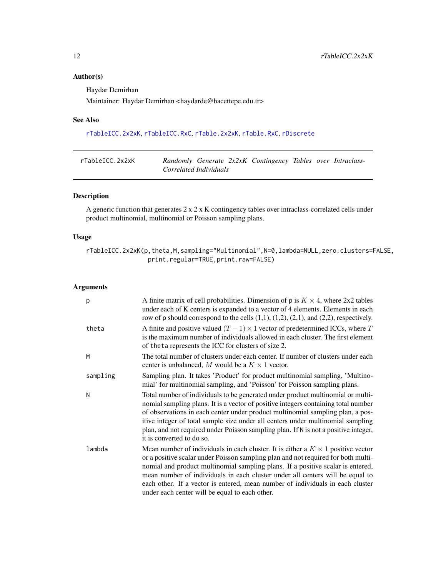## <span id="page-11-0"></span>Author(s)

Haydar Demirhan

Maintainer: Haydar Demirhan <haydarde@hacettepe.edu.tr>

## See Also

[rTableICC.2x2xK](#page-11-1), [rTableICC.RxC](#page-15-1), [rTable.2x2xK](#page-5-1), [rTable.RxC](#page-7-1), [rDiscrete](#page-4-1)

<span id="page-11-1"></span>

| rTableICC.2x2xK |                        |  | Randomly Generate 2x2xK Contingency Tables over Intraclass- |  |  |
|-----------------|------------------------|--|-------------------------------------------------------------|--|--|
|                 | Correlated Individuals |  |                                                             |  |  |

## Description

A generic function that generates 2 x 2 x K contingency tables over intraclass-correlated cells under product multinomial, multinomial or Poisson sampling plans.

## Usage

rTableICC.2x2xK(p,theta,M,sampling="Multinomial",N=0,lambda=NULL,zero.clusters=FALSE, print.regular=TRUE,print.raw=FALSE)

## Arguments

| p        | A finite matrix of cell probabilities. Dimension of p is $K \times 4$ , where 2x2 tables<br>under each of K centers is expanded to a vector of 4 elements. Elements in each<br>row of p should correspond to the cells $(1,1)$ , $(1,2)$ , $(2,1)$ , and $(2,2)$ , respectively.                                                                                                                                                                                                     |
|----------|--------------------------------------------------------------------------------------------------------------------------------------------------------------------------------------------------------------------------------------------------------------------------------------------------------------------------------------------------------------------------------------------------------------------------------------------------------------------------------------|
| theta    | A finite and positive valued $(T - 1) \times 1$ vector of predetermined ICCs, where T<br>is the maximum number of individuals allowed in each cluster. The first element<br>of theta represents the ICC for clusters of size 2.                                                                                                                                                                                                                                                      |
| M        | The total number of clusters under each center. If number of clusters under each<br>center is unbalanced, M would be a $K \times 1$ vector.                                                                                                                                                                                                                                                                                                                                          |
| sampling | Sampling plan. It takes 'Product' for product multinomial sampling, 'Multino-<br>mial' for multinomial sampling, and 'Poisson' for Poisson sampling plans.                                                                                                                                                                                                                                                                                                                           |
| N        | Total number of individuals to be generated under product multinomial or multi-<br>nomial sampling plans. It is a vector of positive integers containing total number<br>of observations in each center under product multinomial sampling plan, a pos-<br>itive integer of total sample size under all centers under multinomial sampling<br>plan, and not required under Poisson sampling plan. If N is not a positive integer,<br>it is converted to do so.                       |
| lambda   | Mean number of individuals in each cluster. It is either a $K \times 1$ positive vector<br>or a positive scalar under Poisson sampling plan and not required for both multi-<br>nomial and product multinomial sampling plans. If a positive scalar is entered,<br>mean number of individuals in each cluster under all centers will be equal to<br>each other. If a vector is entered, mean number of individuals in each cluster<br>under each center will be equal to each other. |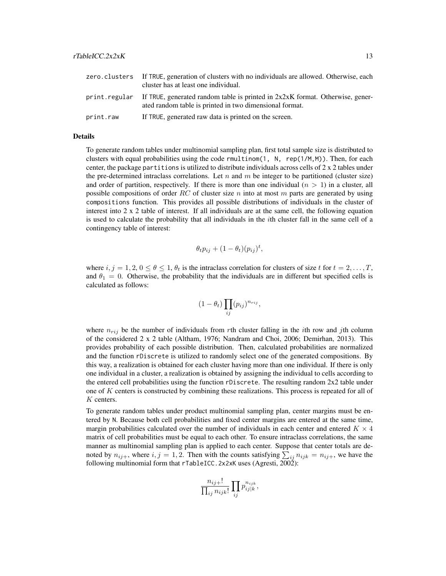|           | zero. clusters If TRUE, generation of clusters with no individuals are allowed. Otherwise, each<br>cluster has at least one individual.                  |
|-----------|----------------------------------------------------------------------------------------------------------------------------------------------------------|
|           | print.regular If TRUE, generated random table is printed in $2x2xK$ format. Otherwise, gener-<br>ated random table is printed in two dimensional format. |
| print.raw | If TRUE, generated raw data is printed on the screen.                                                                                                    |

#### Details

To generate random tables under multinomial sampling plan, first total sample size is distributed to clusters with equal probabilities using the code rmultinom $(1, N, rep(1/M,M))$ . Then, for each center, the package partitions is utilized to distribute individuals across cells of  $2 \times 2$  tables under the pre-determined intraclass correlations. Let n and  $m$  be integer to be partitioned (cluster size) and order of partition, respectively. If there is more than one individual  $(n > 1)$  in a cluster, all possible compositions of order RC of cluster size n into at most m parts are generated by using compositions function. This provides all possible distributions of individuals in the cluster of interest into 2 x 2 table of interest. If all individuals are at the same cell, the following equation is used to calculate the probability that all individuals in the *i*th cluster fall in the same cell of a contingency table of interest:

$$
\theta_t p_{ij} + (1 - \theta_t)(p_{ij})^t,
$$

where  $i, j = 1, 2, 0 \le \theta \le 1, \theta_t$  is the intraclass correlation for clusters of size t for  $t = 2, ..., T$ , and  $\theta_1 = 0$ . Otherwise, the probability that the individuals are in different but specified cells is calculated as follows:

$$
(1 - \theta_t) \prod_{ij} (p_{ij})^{n_{rij}},
$$

where  $n_{rij}$  be the number of individuals from rth cluster falling in the *i*th row and *j*th column of the considered 2 x 2 table (Altham, 1976; Nandram and Choi, 2006; Demirhan, 2013). This provides probability of each possible distribution. Then, calculated probabilities are normalized and the function rDiscrete is utilized to randomly select one of the generated compositions. By this way, a realization is obtained for each cluster having more than one individual. If there is only one individual in a cluster, a realization is obtained by assigning the individual to cells according to the entered cell probabilities using the function rDiscrete. The resulting random 2x2 table under one of  $K$  centers is constructed by combining these realizations. This process is repeated for all of K centers.

To generate random tables under product multinomial sampling plan, center margins must be entered by N. Because both cell probabilities and fixed center margins are entered at the same time, margin probabilities calculated over the number of individuals in each center and entered  $K \times 4$ matrix of cell probabilities must be equal to each other. To ensure intraclass correlations, the same manner as multinomial sampling plan is applied to each center. Suppose that center totals are denoted by  $n_{ij+}$ , where  $i, j = 1, 2$ . Then with the counts satisfying  $\sum_{ij} n_{ijk} = n_{ij+}$ , we have the following multinomial form that rTableICC.2x2xK uses (Agresti, 2002):

$$
\frac{n_{ij+}!}{\prod_{ij}n_{ijk}!}\prod_{ij}p_{ij|k}^{n_{ijk}},
$$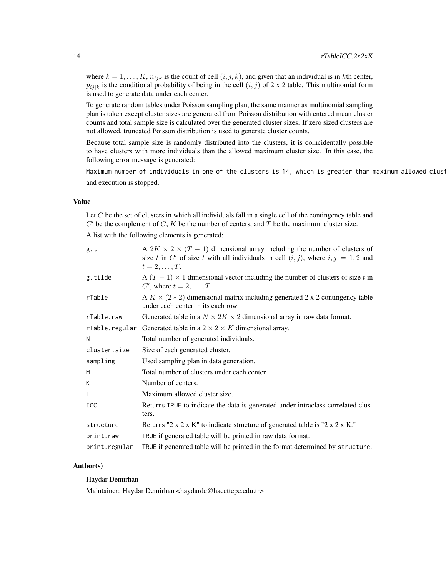where  $k = 1, \ldots, K, n_{ijk}$  is the count of cell  $(i, j, k)$ , and given that an individual is in kth center,  $p_{ij|k}$  is the conditional probability of being in the cell  $(i, j)$  of 2 x 2 table. This multinomial form is used to generate data under each center.

To generate random tables under Poisson sampling plan, the same manner as multinomial sampling plan is taken except cluster sizes are generated from Poisson distribution with entered mean cluster counts and total sample size is calculated over the generated cluster sizes. If zero sized clusters are not allowed, truncated Poisson distribution is used to generate cluster counts.

Because total sample size is randomly distributed into the clusters, it is coincidentally possible to have clusters with more individuals than the allowed maximum cluster size. In this case, the following error message is generated:

Maximum number of individuals in one of the clusters is 14, which is greater than maximum allowed clust and execution is stopped.

#### Value

Let C be the set of clusters in which all individuals fall in a single cell of the contingency table and  $C'$  be the complement of  $C$ ,  $K$  be the number of centers, and  $T$  be the maximum cluster size.

A list with the following elements is generated:

| g.t           | A $2K \times 2 \times (T-1)$ dimensional array including the number of clusters of<br>size t in C' of size t with all individuals in cell $(i, j)$ , where $i, j = 1, 2$ and<br>$t=2,\ldots,T$ . |
|---------------|--------------------------------------------------------------------------------------------------------------------------------------------------------------------------------------------------|
| g.tilde       | A $(T - 1) \times 1$ dimensional vector including the number of clusters of size t in<br>C', where $t = 2, \ldots, T$ .                                                                          |
| rTable        | A $K \times (2 \times 2)$ dimensional matrix including generated 2 x 2 contingency table<br>under each center in its each row.                                                                   |
| rTable.raw    | Generated table in a $N \times 2K \times 2$ dimensional array in raw data format.                                                                                                                |
|               | rTable. regular Generated table in a $2 \times 2 \times K$ dimensional array.                                                                                                                    |
| N             | Total number of generated individuals.                                                                                                                                                           |
| cluster.size  | Size of each generated cluster.                                                                                                                                                                  |
| sampling      | Used sampling plan in data generation.                                                                                                                                                           |
| M             | Total number of clusters under each center.                                                                                                                                                      |
| K             | Number of centers.                                                                                                                                                                               |
| Τ             | Maximum allowed cluster size.                                                                                                                                                                    |
| ICC           | Returns TRUE to indicate the data is generated under intraclass-correlated clus-<br>ters.                                                                                                        |
| structure     | Returns "2 x 2 x K" to indicate structure of generated table is "2 x 2 x K."                                                                                                                     |
| print.raw     | TRUE if generated table will be printed in raw data format.                                                                                                                                      |
| print.regular | TRUE if generated table will be printed in the format determined by structure.                                                                                                                   |

#### Author(s)

Haydar Demirhan

Maintainer: Haydar Demirhan <haydarde@hacettepe.edu.tr>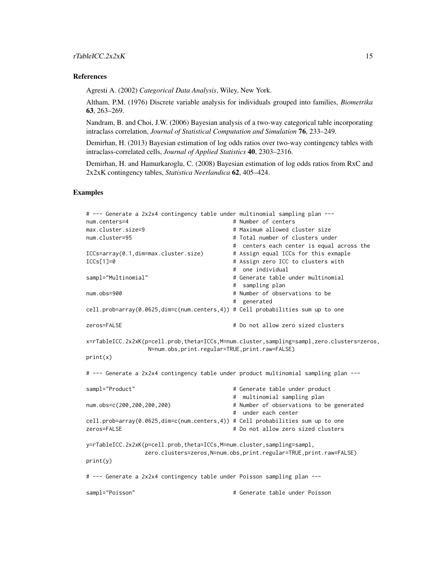#### References

Agresti A. (2002) *Categorical Data Analysis*, Wiley, New York.

Altham, P.M. (1976) Discrete variable analysis for individuals grouped into families, *Biometrika* 63, 263–269.

Nandram, B. and Choi, J.W. (2006) Bayesian analysis of a two-way categorical table incorporating intraclass correlation, *Journal of Statistical Computation and Simulation* 76, 233–249.

Demirhan, H. (2013) Bayesian estimation of log odds ratios over two-way contingency tables with intraclass-correlated cells, *Journal of Applied Statistics* 40, 2303–2316.

Demirhan, H. and Hamurkaroglu, C. (2008) Bayesian estimation of log odds ratios from RxC and 2x2xK contingency tables, *Statistica Neerlandica* 62, 405–424.

#### Examples

```
# --- Generate a 2x2x4 contingency table under multinomial sampling plan ---
num.centers=4 \qquad # Number of centers
max.cluster.size=9 # Maximum allowed cluster size
num.cluster=95 # Total number of clusters under
                                                    # centers each center is equal across the
ICCs=array(0.1,dim=max.cluster.size) # Assign equal ICCs for this exmaple
ICCs[1]=0 # Assign zero ICC to clusters with
                                                    # one individual
sampl="Multinomial" # Generate table under multinomial
                                                    # sampling plan
num.obs=900 b \uparrow + Number of observations to be
                                                    # generated
cell.prob=array(0.0625,dim=c(num.centers,4)) # Cell probabilities sum up to one
zeros=FALSE \qquad \qquad \qquad \qquad \qquad \qquad \qquad \qquad \qquad \qquad \qquad \qquad \qquad \qquad \qquad \qquad \qquad \qquad \qquad \qquad \qquad \qquad \qquad \qquad \qquad \qquad \qquad \qquad \qquad \qquad \qquad \qquad \qquad \qquad \qquad 
x=rTableICC.2x2xK(p=cell.prob,theta=ICCs,M=num.cluster,sampling=sampl,zero.clusters=zeros,
                      N=num.obs,print.regular=TRUE,print.raw=FALSE)
print(x)
# --- Generate a 2x2x4 contingency table under product multinomial sampling plan ---
sampl="Product" entitled the sample of the sample of the sample of the sample of the sample of the sample of the sample of the sample of the sample of the sample of the sample of the sample of the sample of the sample of t
                                                    # multinomial sampling plan
num.obs=c(200,200,200,200) # Number of observations to be generated
                                                    # under each center
cell.prob=array(0.0625,dim=c(num.centers,4)) # Cell probabilities sum up to one
zeros=FALSE \qquad \qquad \qquad \qquad \qquad \qquad \qquad \qquad \qquad \qquad \qquad \qquad \qquad \qquad \qquad \qquad \qquad \qquad \qquad \qquad \qquad \qquad \qquad \qquad \qquad \qquad \qquad \qquad \qquad \qquad \qquad \qquad \qquad \qquad \qquad 
y=rTableICC.2x2xK(p=cell.prob,theta=ICCs,M=num.cluster,sampling=sampl,
                    zero.clusters=zeros,N=num.obs,print.regular=TRUE,print.raw=FALSE)
print(y)
# --- Generate a 2x2x4 contingency table under Poisson sampling plan ---
sampl="Poisson" # Generate table under Poisson
```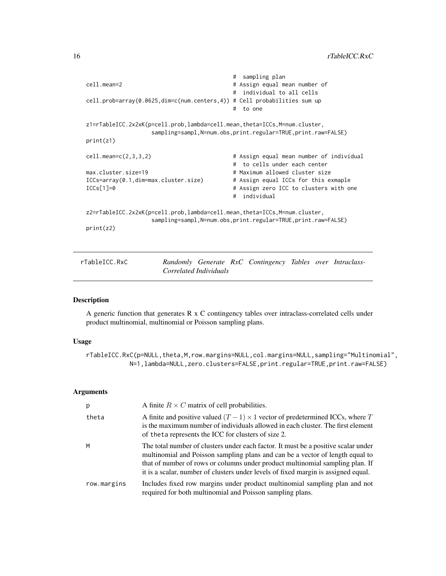```
# sampling plan
cell.mean=2 # Assign equal mean number of
                                      # individual to all cells
cell.prob=array(0.0625,dim=c(num.centers,4)) # Cell probabilities sum up
                                      # to one
z1=rTableICC.2x2xK(p=cell.prob,lambda=cell.mean,theta=ICCs,M=num.cluster,
                 sampling=sampl,N=num.obs,print.regular=TRUE,print.raw=FALSE)
print(z1)
cell.mean=c(2,3,3,2) # Assign equal mean number of individual
                                      # to cells under each center
max.cluster.size=19 		 # Maximum allowed cluster size
ICCs=array(0.1,dim=max.cluster.size) # Assign equal ICCs for this exmaple
ICCs[1]=0 # Assign zero ICC to clusters with one
                                      # individual
z2=rTableICC.2x2xK(p=cell.prob,lambda=cell.mean,theta=ICCs,M=num.cluster,
                 sampling=sampl,N=num.obs,print.regular=TRUE,print.raw=FALSE)
print(z2)
```
<span id="page-15-1"></span>

| rTableICC.RxC |                        |  | Randomly Generate RxC Contingency Tables over Intraclass- |  |  |
|---------------|------------------------|--|-----------------------------------------------------------|--|--|
|               | Correlated Individuals |  |                                                           |  |  |

## Description

A generic function that generates R x C contingency tables over intraclass-correlated cells under product multinomial, multinomial or Poisson sampling plans.

#### Usage

rTableICC.RxC(p=NULL,theta,M,row.margins=NULL,col.margins=NULL,sampling="Multinomial", N=1,lambda=NULL,zero.clusters=FALSE,print.regular=TRUE,print.raw=FALSE)

## Arguments

| p           | A finite $R \times C$ matrix of cell probabilities.                                                                                                                                                                                                                                                                                        |
|-------------|--------------------------------------------------------------------------------------------------------------------------------------------------------------------------------------------------------------------------------------------------------------------------------------------------------------------------------------------|
| theta       | A finite and positive valued $(T - 1) \times 1$ vector of predetermined ICCs, where T<br>is the maximum number of individuals allowed in each cluster. The first element<br>of the ta represents the ICC for clusters of size 2.                                                                                                           |
| M           | The total number of clusters under each factor. It must be a positive scalar under<br>multinomial and Poisson sampling plans and can be a vector of length equal to<br>that of number of rows or columns under product multinomial sampling plan. If<br>it is a scalar, number of clusters under levels of fixed margin is assigned equal. |
| row.margins | Includes fixed row margins under product multinomial sampling plan and not<br>required for both multinomial and Poisson sampling plans.                                                                                                                                                                                                    |

<span id="page-15-0"></span>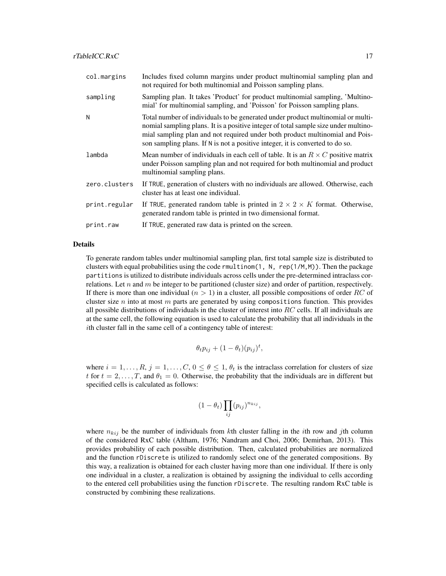| col.margins   | Includes fixed column margins under product multinomial sampling plan and<br>not required for both multinomial and Poisson sampling plans.                                                                                                                                                                                              |
|---------------|-----------------------------------------------------------------------------------------------------------------------------------------------------------------------------------------------------------------------------------------------------------------------------------------------------------------------------------------|
| sampling      | Sampling plan. It takes 'Product' for product multinomial sampling, 'Multino-<br>mial' for multinomial sampling, and 'Poisson' for Poisson sampling plans.                                                                                                                                                                              |
| N             | Total number of individuals to be generated under product multinomial or multi-<br>nomial sampling plans. It is a positive integer of total sample size under multino-<br>mial sampling plan and not required under both product multinomial and Pois-<br>son sampling plans. If N is not a positive integer, it is converted to do so. |
| lambda        | Mean number of individuals in each cell of table. It is an $R \times C$ positive matrix<br>under Poisson sampling plan and not required for both multinomial and product<br>multinomial sampling plans.                                                                                                                                 |
| zero.clusters | If TRUE, generation of clusters with no individuals are allowed. Otherwise, each<br>cluster has at least one individual.                                                                                                                                                                                                                |
| print.regular | If TRUE, generated random table is printed in $2 \times 2 \times K$ format. Otherwise,<br>generated random table is printed in two dimensional format.                                                                                                                                                                                  |
| print.raw     | If TRUE, generated raw data is printed on the screen.                                                                                                                                                                                                                                                                                   |

## Details

To generate random tables under multinomial sampling plan, first total sample size is distributed to clusters with equal probabilities using the code rmultinom(1, N, rep( $1/M, M$ )). Then the package partitions is utilized to distribute individuals across cells under the pre-determined intraclass correlations. Let n and m be integer to be partitioned (cluster size) and order of partition, respectively. If there is more than one individual  $(n > 1)$  in a cluster, all possible compositions of order RC of cluster size n into at most m parts are generated by using compositions function. This provides all possible distributions of individuals in the cluster of interest into  $RC$  cells. If all individuals are at the same cell, the following equation is used to calculate the probability that all individuals in the ith cluster fall in the same cell of a contingency table of interest:

$$
\theta_t p_{ij} + (1 - \theta_t)(p_{ij})^t,
$$

where  $i = 1, \ldots, R$ ,  $j = 1, \ldots, C$ ,  $0 \le \theta \le 1$ ,  $\theta_t$  is the intraclass correlation for clusters of size t for  $t = 2, \ldots, T$ , and  $\theta_1 = 0$ . Otherwise, the probability that the individuals are in different but specified cells is calculated as follows:

$$
(1 - \theta_t) \prod_{ij} (p_{ij})^{n_{kij}},
$$

where  $n_{kij}$  be the number of individuals from kth cluster falling in the *i*th row and *j*th column of the considered RxC table (Altham, 1976; Nandram and Choi, 2006; Demirhan, 2013). This provides probability of each possible distribution. Then, calculated probabilities are normalized and the function rDiscrete is utilized to randomly select one of the generated compositions. By this way, a realization is obtained for each cluster having more than one individual. If there is only one individual in a cluster, a realization is obtained by assigning the individual to cells according to the entered cell probabilities using the function rDiscrete. The resulting random RxC table is constructed by combining these realizations.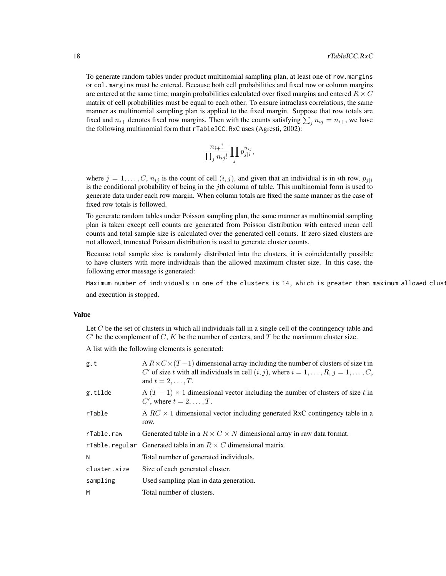To generate random tables under product multinomial sampling plan, at least one of row.margins or col.margins must be entered. Because both cell probabilities and fixed row or column margins are entered at the same time, margin probabilities calculated over fixed margins and entered  $R \times C$ matrix of cell probabilities must be equal to each other. To ensure intraclass correlations, the same manner as multinomial sampling plan is applied to the fixed margin. Suppose that row totals are fixed and  $n_{i+}$  denotes fixed row margins. Then with the counts satisfying  $\sum_j n_{ij} = n_{i+}$ , we have the following multinomial form that rTableICC.RxC uses (Agresti, 2002):

$$
\frac{n_{i+}!}{\prod_j n_{ij}!} \prod_j p_{j|i}^{n_{ij}},
$$

where  $j = 1, \ldots, C, n_{ij}$  is the count of cell  $(i, j)$ , and given that an individual is in *i*th row,  $p_{j|i}$ is the conditional probability of being in the jth column of table. This multinomial form is used to generate data under each row margin. When column totals are fixed the same manner as the case of fixed row totals is followed.

To generate random tables under Poisson sampling plan, the same manner as multinomial sampling plan is taken except cell counts are generated from Poisson distribution with entered mean cell counts and total sample size is calculated over the generated cell counts. If zero sized clusters are not allowed, truncated Poisson distribution is used to generate cluster counts.

Because total sample size is randomly distributed into the clusters, it is coincidentally possible to have clusters with more individuals than the allowed maximum cluster size. In this case, the following error message is generated:

Maximum number of individuals in one of the clusters is 14, which is greater than maximum allowed clust and execution is stopped.

#### Value

Let C be the set of clusters in which all individuals fall in a single cell of the contingency table and  $C'$  be the complement of  $C$ ,  $K$  be the number of centers, and  $T$  be the maximum cluster size.

A list with the following elements is generated:

| g.t          | A $R \times C \times (T-1)$ dimensional array including the number of clusters of size t in<br>C' of size t with all individuals in cell $(i, j)$ , where $i = 1, \dots, R$ , $j = 1, \dots, C$ ,<br>and $t=2,\ldots,T$ . |
|--------------|---------------------------------------------------------------------------------------------------------------------------------------------------------------------------------------------------------------------------|
| g.tilde      | A $(T - 1) \times 1$ dimensional vector including the number of clusters of size t in<br>C', where $t = 2, \ldots, T$ .                                                                                                   |
| rTable       | A $RC \times 1$ dimensional vector including generated RxC contingency table in a<br>row.                                                                                                                                 |
| rTable.raw   | Generated table in a $R \times C \times N$ dimensional array in raw data format.                                                                                                                                          |
|              | rTable. regular Generated table in an $R \times C$ dimensional matrix.                                                                                                                                                    |
| Ν            | Total number of generated individuals.                                                                                                                                                                                    |
| cluster.size | Size of each generated cluster.                                                                                                                                                                                           |
| sampling     | Used sampling plan in data generation.                                                                                                                                                                                    |
| M            | Total number of clusters.                                                                                                                                                                                                 |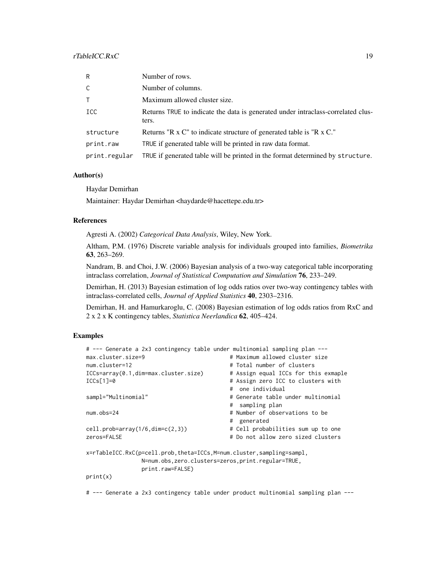## rTableICC.RxC 19

| R             | Number of rows.                                                                           |
|---------------|-------------------------------------------------------------------------------------------|
| C             | Number of columns.                                                                        |
| T.            | Maximum allowed cluster size.                                                             |
| ICC           | Returns TRUE to indicate the data is generated under intraclass-correlated clus-<br>ters. |
| structure     | Returns "R x C" to indicate structure of generated table is "R x C."                      |
| print.raw     | TRUE if generated table will be printed in raw data format.                               |
| print.regular | TRUE if generated table will be printed in the format determined by structure.            |

## Author(s)

Haydar Demirhan

Maintainer: Haydar Demirhan <haydarde@hacettepe.edu.tr>

## References

Agresti A. (2002) *Categorical Data Analysis*, Wiley, New York.

Altham, P.M. (1976) Discrete variable analysis for individuals grouped into families, *Biometrika* 63, 263–269.

Nandram, B. and Choi, J.W. (2006) Bayesian analysis of a two-way categorical table incorporating intraclass correlation, *Journal of Statistical Computation and Simulation* 76, 233–249.

Demirhan, H. (2013) Bayesian estimation of log odds ratios over two-way contingency tables with intraclass-correlated cells, *Journal of Applied Statistics* 40, 2303–2316.

Demirhan, H. and Hamurkaroglu, C. (2008) Bayesian estimation of log odds ratios from RxC and 2 x 2 x K contingency tables, *Statistica Neerlandica* 62, 405–424.

## Examples

| # --- Generate a 2x3 contingency table under multinomial sampling plan --- |                                      |
|----------------------------------------------------------------------------|--------------------------------------|
| max.cluster.size=9                                                         | # Maximum allowed cluster size       |
| num.cluster=12                                                             | # Total number of clusters           |
| ICCs=array(0.1,dim=max.cluster.size)                                       | # Assign equal ICCs for this exmaple |
| $ICCs[1]=0$                                                                | # Assign zero ICC to clusters with   |
|                                                                            | # one individual                     |
| sampl="Multinomial"                                                        | # Generate table under multinomial   |
|                                                                            | # sampling plan                      |
| $num.$ obs=24                                                              | # Number of observations to be       |
|                                                                            | # generated                          |
| $cell. prob=array(1/6.dim=c(2,3))$                                         | # Cell probabilities sum up to one   |
| zeros=FALSE                                                                | # Do not allow zero sized clusters   |
| x=rTableICC.RxC(p=cell.prob,theta=ICCs,M=num.cluster,sampling=sampl,       |                                      |
| N=num.obs,zero.clusters=zeros,print.regular=TRUE,                          |                                      |
| print.raw=FALSE)                                                           |                                      |
| print(x)                                                                   |                                      |

# --- Generate a 2x3 contingency table under product multinomial sampling plan ---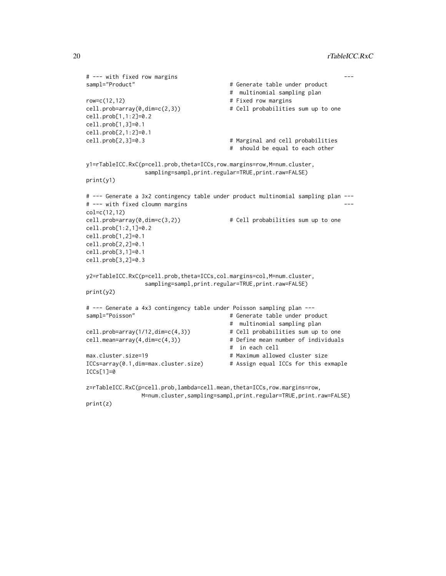```
# --- with fixed row margins ---
sampl="Product" # Generate table under product
                                       # multinomial sampling plan
row=c(12,12) \qquad # Fixed row margins
cell.prob=array(0,dim=c(2,3)) \qquad \qquad \qquad # Cell probabilities sum up to onecell.prob[1,1:2]=0.2
cell.prob[1,3]=0.1
cell.prob[2,1:2]=0.1
cell.prob[2,3]=0.3 # Marginal and cell probabilities
                                       # should be equal to each other
y1=rTableICC.RxC(p=cell.prob,theta=ICCs,row.margins=row,M=num.cluster,
                sampling=sampl,print.regular=TRUE,print.raw=FALSE)
print(y1)
# --- Generate a 3x2 contingency table under product multinomial sampling plan ---
# --- with fixed cloumn margins
col=c(12,12)
cell.prob=array(0,dim=c(3,2)) \qquad \qquad \qquad # Cell probabilities sum up to one
cell.prob[1:2,1]=0.2
cell.prob[1,2]=0.1
cell.prob[2,2]=0.1
cell.prob[3,1]=0.1
cell.prob[3,2]=0.3
y2=rTableICC.RxC(p=cell.prob,theta=ICCs,col.margins=col,M=num.cluster,
                sampling=sampl,print.regular=TRUE,print.raw=FALSE)
print(y2)
# --- Generate a 4x3 contingency table under Poisson sampling plan ---
sampl="Poisson" # Generate table under product
                                       # multinomial sampling plan
cell.prob=array(1/12,dim=c(4,3)) # Cell probabilities sum up to one
cell.mean=array(4,dim=c(4,3)) # Define mean number of individuals
                                       # in each cell
max.cluster.size=19 # Maximum allowed cluster size
ICCs=array(0.1,dim=max.cluster.size) # Assign equal ICCs for this exmaple
ICCs[1]=0
z=rTableICC.RxC(p=cell.prob,lambda=cell.mean,theta=ICCs,row.margins=row,
               M=num.cluster,sampling=sampl,print.regular=TRUE,print.raw=FALSE)
```

```
print(z)
```